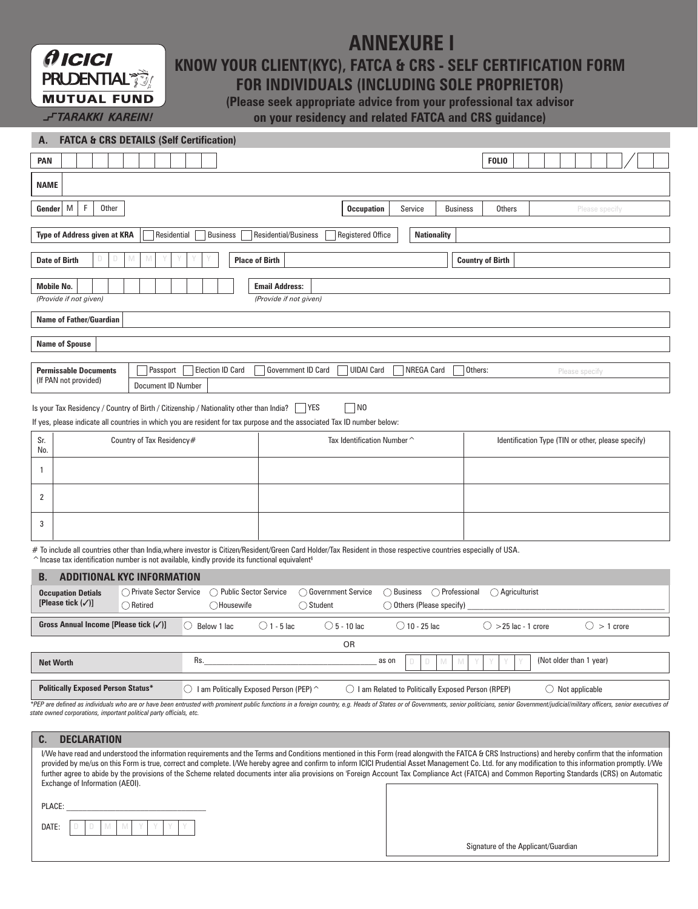## **ANNEXURE I**

**KNOW YOUR CLIENT(KYC), FATCA & CRS - SELF CERTIFICATION FORM** 

## **FOR INDIVIDUALS (INCLUDING SOLE PROPRIETOR)**

**(Please seek appropriate advice from your professional tax advisor on your residency and related FATCA and CRS guidance)** 

| Α.                                                                                                                                                                                                                                                                                                    |                                                                                                                                          |                                                | <b>FATCA &amp; CRS DETAILS (Self Certification)</b>                               |                                                                                           |                                                           |                                            |                      |  |
|-------------------------------------------------------------------------------------------------------------------------------------------------------------------------------------------------------------------------------------------------------------------------------------------------------|------------------------------------------------------------------------------------------------------------------------------------------|------------------------------------------------|-----------------------------------------------------------------------------------|-------------------------------------------------------------------------------------------|-----------------------------------------------------------|--------------------------------------------|----------------------|--|
| PAN                                                                                                                                                                                                                                                                                                   |                                                                                                                                          |                                                |                                                                                   |                                                                                           |                                                           | <b>FOLIO</b>                               |                      |  |
| <b>NAME</b>                                                                                                                                                                                                                                                                                           |                                                                                                                                          |                                                |                                                                                   |                                                                                           |                                                           |                                            |                      |  |
| $\mathsf F$<br>M<br>Other<br>Gender                                                                                                                                                                                                                                                                   |                                                                                                                                          |                                                |                                                                                   | <b>Occupation</b><br>Service<br><b>Business</b><br><b>Others</b>                          |                                                           |                                            | Please specify       |  |
|                                                                                                                                                                                                                                                                                                       | Type of Address given at KRA<br>Residential/Business<br><b>Nationality</b><br>Residential<br><b>Business</b><br><b>Registered Office</b> |                                                |                                                                                   |                                                                                           |                                                           |                                            |                      |  |
|                                                                                                                                                                                                                                                                                                       | <b>Date of Birth</b><br><b>Place of Birth</b><br><b>Country of Birth</b>                                                                 |                                                |                                                                                   |                                                                                           |                                                           |                                            |                      |  |
| <b>Mobile No.</b><br><b>Email Address:</b><br>(Provide if not given)<br>(Provide if not given)                                                                                                                                                                                                        |                                                                                                                                          |                                                |                                                                                   |                                                                                           |                                                           |                                            |                      |  |
|                                                                                                                                                                                                                                                                                                       | <b>Name of Father/Guardian</b>                                                                                                           |                                                |                                                                                   |                                                                                           |                                                           |                                            |                      |  |
| <b>Name of Spouse</b>                                                                                                                                                                                                                                                                                 |                                                                                                                                          |                                                |                                                                                   |                                                                                           |                                                           |                                            |                      |  |
| <b>Election ID Card</b><br><b>Permissable Documents</b><br>Passport<br><b>Government ID Card</b><br><b>UIDAI Card</b><br>NREGA Card<br>Others:<br>(If PAN not provided)<br><b>Document ID Number</b>                                                                                                  |                                                                                                                                          |                                                |                                                                                   |                                                                                           | Please specify                                            |                                            |                      |  |
| Is your Tax Residency / Country of Birth / Citizenship / Nationality other than India?<br>  YES<br>$\overline{\phantom{a}}$ NO<br>If yes, please indicate all countries in which you are resident for tax purpose and the associated Tax ID number below:                                             |                                                                                                                                          |                                                |                                                                                   |                                                                                           |                                                           |                                            |                      |  |
| Sr.<br>No.                                                                                                                                                                                                                                                                                            |                                                                                                                                          | Country of Tax Residency#                      | Tax Identification Number ^<br>Identification Type (TIN or other, please specify) |                                                                                           |                                                           |                                            |                      |  |
| $\mathbf{1}$                                                                                                                                                                                                                                                                                          |                                                                                                                                          |                                                |                                                                                   |                                                                                           |                                                           |                                            |                      |  |
| 2                                                                                                                                                                                                                                                                                                     |                                                                                                                                          |                                                |                                                                                   |                                                                                           |                                                           |                                            |                      |  |
| 3                                                                                                                                                                                                                                                                                                     |                                                                                                                                          |                                                |                                                                                   |                                                                                           |                                                           |                                            |                      |  |
| # To include all countries other than India,where investor is Citizen/Resident/Green Card Holder/Tax Resident in those respective countries especially of USA.<br>$\hat{\ }$ Incase tax identification number is not available, kindly provide its functional equivalent <sup>§</sup>                 |                                                                                                                                          |                                                |                                                                                   |                                                                                           |                                                           |                                            |                      |  |
| <b>ADDITIONAL KYC INFORMATION</b><br>B.                                                                                                                                                                                                                                                               |                                                                                                                                          |                                                |                                                                                   |                                                                                           |                                                           |                                            |                      |  |
|                                                                                                                                                                                                                                                                                                       | <b>Occupation Detials</b><br>[Please tick $(\checkmark)$ ]                                                                               | ◯ Private Sector Service<br>$\bigcirc$ Retired | ◯ Public Sector Service<br>◯Housewife                                             | ◯ Government Service<br>$\bigcirc$ Student                                                | $\bigcirc$ Business<br>$\bigcirc$ Others (Please specify) | ◯ Professional<br>$\bigcirc$ Agriculturist |                      |  |
|                                                                                                                                                                                                                                                                                                       | Gross Annual Income [Please tick (√)]                                                                                                    |                                                | $\bigcirc$ Below 1 lac                                                            | $\bigcirc$ 1 - 5 lac<br>$\bigcirc$ 5 - 10 lac                                             | $\bigcirc$ 10 - 25 lac                                    | $\bigcirc$ >25 lac - 1 crore               | $\bigcirc$ > 1 crore |  |
| <b>OR</b>                                                                                                                                                                                                                                                                                             |                                                                                                                                          |                                                |                                                                                   |                                                                                           |                                                           |                                            |                      |  |
| Rs.<br><b>Net Worth</b>                                                                                                                                                                                                                                                                               |                                                                                                                                          |                                                |                                                                                   | (Not older than 1 year)<br>as on<br>D<br>D<br>M<br>M                                      |                                                           |                                            |                      |  |
| <b>Politically Exposed Person Status*</b>                                                                                                                                                                                                                                                             |                                                                                                                                          |                                                | $\bigcirc$ I am Politically Exposed Person (PEP) ^                                | $\bigcirc$ I am Related to Politically Exposed Person (RPEP)<br>$\bigcirc$ Not applicable |                                                           |                                            |                      |  |
| *PEP are defined as individuals who are or have been entrusted with prominent public functions in a foreign country, e.g. Heads of States or of Governments, senior politicians, senior Government/judicial/military officers,<br>state owned corporations, important political party officials, etc. |                                                                                                                                          |                                                |                                                                                   |                                                                                           |                                                           |                                            |                      |  |
| $\mathbf{C}$<br><b>DECLARATION</b>                                                                                                                                                                                                                                                                    |                                                                                                                                          |                                                |                                                                                   |                                                                                           |                                                           |                                            |                      |  |

| I/We have read and understood the information requirements and the Terms and Conditions mentioned in this Form (read alongwith the FATCA & CRS Instructions) and hereby confirm that the information<br>provided by me/us on this Form is true, correct and complete. I/We hereby agree and confirm to inform ICICI Prudential Asset Management Co. Ltd. for any modification to this information promptly. I/We |  |
|------------------------------------------------------------------------------------------------------------------------------------------------------------------------------------------------------------------------------------------------------------------------------------------------------------------------------------------------------------------------------------------------------------------|--|
| further agree to abide by the provisions of the Scheme related documents inter alia provisions on 'Foreign Account Tax Compliance Act (FATCA) and Common Reporting Standards (CRS) on Automatic<br>Exchange of Information (AEOI).                                                                                                                                                                               |  |
|                                                                                                                                                                                                                                                                                                                                                                                                                  |  |
| PLACE:                                                                                                                                                                                                                                                                                                                                                                                                           |  |

| n٨<br>$\overline{\phantom{a}}$ |  | v | ٠ |  |  |
|--------------------------------|--|---|---|--|--|
|                                |  |   |   |  |  |

 $f$ ICICI

**PRUDENTIAL MUTUAL FUND J-TARAKKI KAREIN!** 

Signature of the Applicant/Guardian